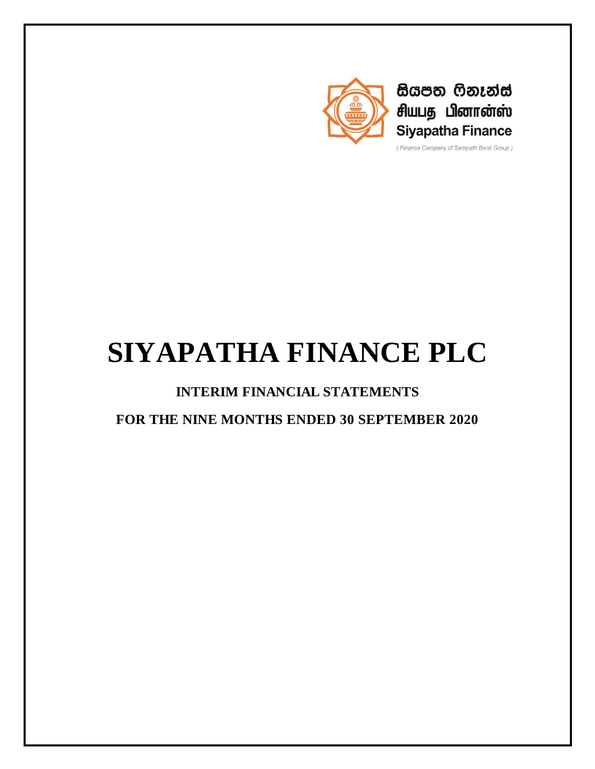

සියපත ෆිනෑන්ස් சியபத பினான்ஸ் **Siyapatha Finance** 

(Finance Company of Sampath Bank Group)

# **SIYAPATHA FINANCE PLC**

**INTERIM FINANCIAL STATEMENTS**

**FOR THE NINE MONTHS ENDED 30 SEPTEMBER 2020**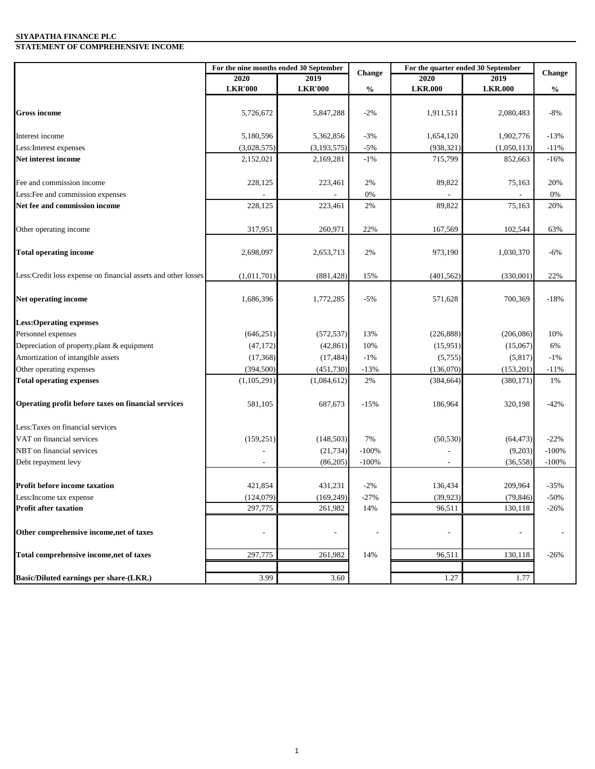#### **SIYAPATHA FINANCE PLC STATEMENT OF COMPREHENSIVE INCOME**

|                                                                | For the nine months ended 30 September |                | <b>Change</b> | For the quarter ended 30 September | Change         |               |
|----------------------------------------------------------------|----------------------------------------|----------------|---------------|------------------------------------|----------------|---------------|
|                                                                | <b>2020</b>                            | 2019           |               | 2020                               | 2019           |               |
|                                                                | <b>LKR'000</b>                         | <b>LKR'000</b> | $\frac{0}{0}$ | <b>LKR.000</b>                     | <b>LKR.000</b> | $\frac{0}{0}$ |
| <b>Gross income</b>                                            | 5,726,672                              | 5,847,288      | $-2%$         | 1,911,511                          | 2,080,483      | $-8%$         |
| Interest income                                                | 5,180,596                              | 5,362,856      | $-3%$         | 1,654,120                          | 1,902,776      | $-13%$        |
| Less: Interest expenses                                        | (3,028,575)                            | (3, 193, 575)  | $-5%$         | (938, 321)                         | (1,050,113)    | $-11%$        |
| Net interest income                                            | 2,152,021                              | 2,169,281      | $-1%$         | 715,799                            | 852,663        | $-16%$        |
|                                                                |                                        |                |               |                                    |                |               |
| Fee and commission income                                      | 228,125                                | 223,461        | 2%            | 89,822                             | 75,163         | 20%           |
| Less: Fee and commission expenses                              |                                        |                | 0%            |                                    |                | 0%            |
| Net fee and commission income                                  | 228,125                                | 223,461        | 2%            | 89,822                             | 75,163         | 20%           |
| Other operating income                                         | 317,951                                | 260,971        | 22%           | 167,569                            | 102,544        | 63%           |
| <b>Total operating income</b>                                  | 2,698,097                              | 2,653,713      | 2%            | 973,190                            | 1,030,370      | $-6%$         |
| Less: Credit loss expense on financial assets and other losses | (1,011,701)                            | (881, 428)     | 15%           | (401, 562)                         | (330,001)      | 22%           |
| Net operating income                                           | 1,686,396                              | 1,772,285      | $-5%$         | 571,628                            | 700,369        | $-18%$        |
| <b>Less:Operating expenses</b>                                 |                                        |                |               |                                    |                |               |
| Personnel expenses                                             | (646, 251)                             | (572, 537)     | 13%           | (226, 888)                         | (206, 086)     | 10%           |
| Depreciation of property, plant & equipment                    | (47, 172)                              | (42, 861)      | 10%           | (15, 951)                          | (15,067)       | 6%            |
| Amortization of intangible assets                              | (17, 368)                              | (17, 484)      | $-1%$         | (5,755)                            | (5, 817)       | $-1%$         |
| Other operating expenses                                       | (394, 500)                             | (451, 730)     | $-13%$        | (136,070)                          | (153, 201)     | $-11%$        |
| <b>Total operating expenses</b>                                | (1,105,291)                            | (1,084,612)    | 2%            | (384, 664)                         | (380, 171)     | 1%            |
| Operating profit before taxes on financial services            | 581,105                                | 687,673        | $-15%$        | 186,964                            | 320,198        | $-42%$        |
| Less: Taxes on financial services                              |                                        |                |               |                                    |                |               |
| VAT on financial services                                      | (159, 251)                             | (148, 503)     | 7%            | (50, 530)                          | (64, 473)      | $-22%$        |
| NBT on financial services                                      |                                        | (21, 734)      | $-100%$       |                                    | (9,203)        | $-100%$       |
| Debt repayment levy                                            |                                        | (86,205)       | $-100%$       |                                    | (36, 558)      | $-100%$       |
| <b>Profit before income taxation</b>                           | 421,854                                | 431,231        | $-2%$         | 136,434                            | 209,964        | $-35%$        |
| Less: Income tax expense                                       | (124,079)                              | (169, 249)     | $-27%$        | (39, 923)                          | (79, 846)      | -50%          |
| <b>Profit after taxation</b>                                   | 297,775                                | 261,982        | 14%           | 96,511                             | 130,118        | $-26%$        |
| Other comprehensive income, net of taxes                       |                                        |                |               |                                    |                |               |
| Total comprehensive income, net of taxes                       | 297,775                                | 261,982        | 14%           | 96,511                             | 130,118        | $-26%$        |
| Basic/Diluted earnings per share-(LKR.)                        | 3.99                                   | 3.60           |               | 1.27                               | 1.77           |               |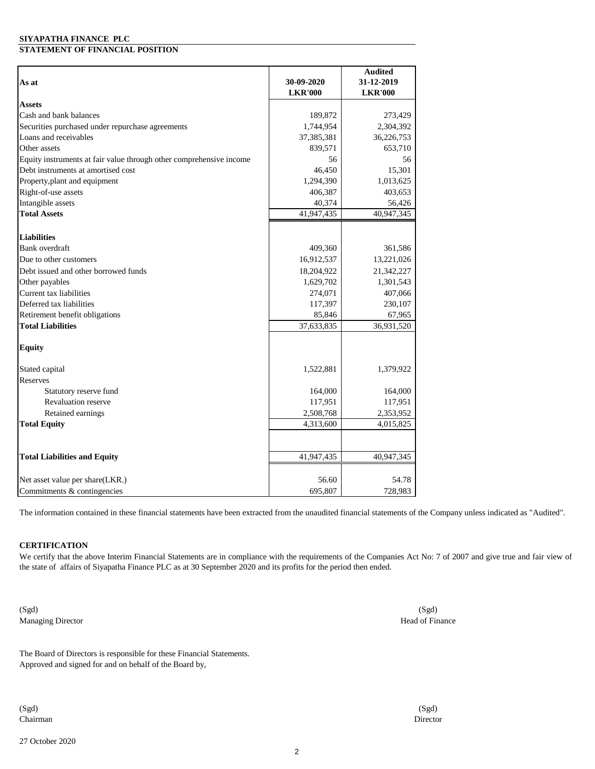#### **SIYAPATHA FINANCE PLC STATEMENT OF FINANCIAL POSITION**

|                                                                     |                | <b>Audited</b> |
|---------------------------------------------------------------------|----------------|----------------|
| As at                                                               | 30-09-2020     | 31-12-2019     |
|                                                                     | <b>LKR'000</b> | <b>LKR'000</b> |
| <b>Assets</b>                                                       |                |                |
| Cash and bank balances                                              | 189,872        | 273,429        |
| Securities purchased under repurchase agreements                    | 1,744,954      | 2,304,392      |
| Loans and receivables                                               | 37,385,381     | 36,226,753     |
| Other assets                                                        | 839,571        | 653,710        |
| Equity instruments at fair value through other comprehensive income | 56             | 56             |
| Debt instruments at amortised cost                                  | 46,450         | 15,301         |
| Property, plant and equipment                                       | 1,294,390      | 1,013,625      |
| Right-of-use assets                                                 | 406,387        | 403,653        |
| Intangible assets                                                   | 40,374         | 56,426         |
| <b>Total Assets</b>                                                 | 41,947,435     | 40,947,345     |
| <b>Liabilities</b>                                                  |                |                |
| Bank overdraft                                                      | 409,360        | 361,586        |
| Due to other customers                                              | 16,912,537     | 13,221,026     |
| Debt issued and other borrowed funds                                | 18,204,922     | 21,342,227     |
| Other payables                                                      | 1,629,702      | 1,301,543      |
| Current tax liabilities                                             | 274,071        | 407,066        |
| Deferred tax liabilities                                            | 117,397        | 230,107        |
| Retirement benefit obligations                                      | 85,846         | 67,965         |
| <b>Total Liabilities</b>                                            | 37,633,835     | 36,931,520     |
|                                                                     |                |                |
| <b>Equity</b>                                                       |                |                |
| Stated capital                                                      | 1,522,881      | 1,379,922      |
| Reserves                                                            |                |                |
| Statutory reserve fund                                              | 164,000        | 164,000        |
| <b>Revaluation reserve</b>                                          | 117,951        | 117,951        |
| Retained earnings                                                   | 2,508,768      | 2,353,952      |
| <b>Total Equity</b>                                                 | 4,313,600      | 4,015,825      |
|                                                                     |                |                |
| <b>Total Liabilities and Equity</b>                                 | 41,947,435     | 40,947,345     |
|                                                                     |                |                |
| Net asset value per share(LKR.)                                     | 56.60          | 54.78          |
| Commitments & contingencies                                         | 695,807        | 728,983        |

The information contained in these financial statements have been extracted from the unaudited financial statements of the Company unless indicated as "Audited".

#### **CERTIFICATION**

We certify that the above Interim Financial Statements are in compliance with the requirements of the Companies Act No: 7 of 2007 and give true and fair view of the state of affairs of Siyapatha Finance PLC as at 30 September 2020 and its profits for the period then ended.

(Sgd) Managing Director

The Board of Directors is responsible for these Financial Statements. Approved and signed for and on behalf of the Board by,

(Sgd) Chairman

27 October 2020

(Sgd) Head of Finance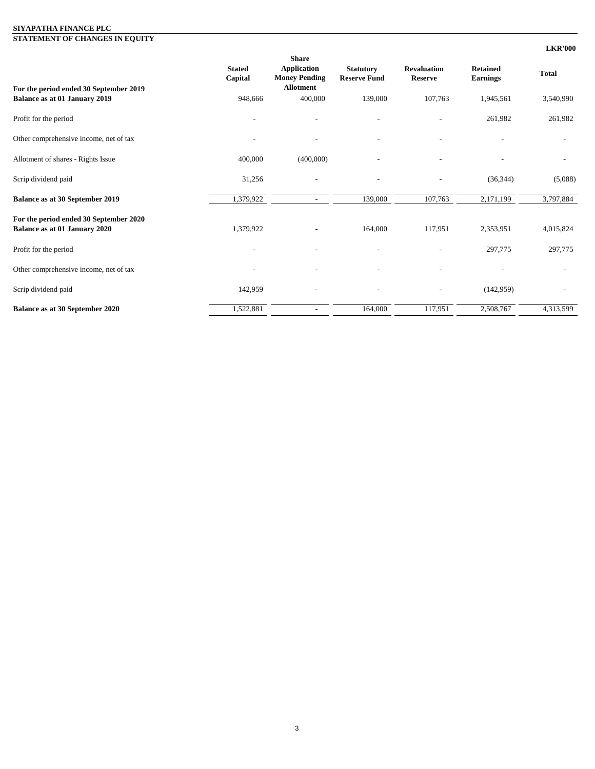#### **SIYAPATHA FINANCE PLC**

**STATEMENT OF CHANGES IN EQUITY**

|                                                                         |                          |                                                                                |                                         |                                      |                                    | <b>LKR'000</b> |
|-------------------------------------------------------------------------|--------------------------|--------------------------------------------------------------------------------|-----------------------------------------|--------------------------------------|------------------------------------|----------------|
| For the period ended 30 September 2019                                  | <b>Stated</b><br>Capital | <b>Share</b><br><b>Application</b><br><b>Money Pending</b><br><b>Allotment</b> | <b>Statutory</b><br><b>Reserve Fund</b> | <b>Revaluation</b><br><b>Reserve</b> | <b>Retained</b><br><b>Earnings</b> | <b>Total</b>   |
| Balance as at 01 January 2019                                           | 948,666                  | 400,000                                                                        | 139,000                                 | 107,763                              | 1,945,561                          | 3,540,990      |
| Profit for the period                                                   |                          |                                                                                |                                         |                                      | 261,982                            | 261,982        |
| Other comprehensive income, net of tax                                  |                          | $\overline{\phantom{a}}$                                                       | $\overline{\phantom{a}}$                |                                      |                                    |                |
| Allotment of shares - Rights Issue                                      | 400,000                  | (400,000)                                                                      |                                         |                                      |                                    |                |
| Scrip dividend paid                                                     | 31,256                   |                                                                                |                                         |                                      | (36, 344)                          | (5,088)        |
| Balance as at 30 September 2019                                         | 1,379,922                | $\sim$                                                                         | 139,000                                 | 107,763                              | 2,171,199                          | 3,797,884      |
| For the period ended 30 September 2020<br>Balance as at 01 January 2020 | 1,379,922                |                                                                                | 164,000                                 | 117,951                              | 2,353,951                          | 4,015,824      |
| Profit for the period                                                   |                          |                                                                                |                                         |                                      | 297,775                            | 297,775        |
| Other comprehensive income, net of tax                                  |                          |                                                                                |                                         |                                      |                                    |                |
| Scrip dividend paid                                                     | 142,959                  | $\overline{a}$                                                                 | $\overline{a}$                          | $\overline{\phantom{a}}$             | (142, 959)                         |                |
| <b>Balance as at 30 September 2020</b>                                  | 1,522,881                | $\overline{\phantom{a}}$                                                       | 164,000                                 | 117,951                              | 2,508,767                          | 4,313,599      |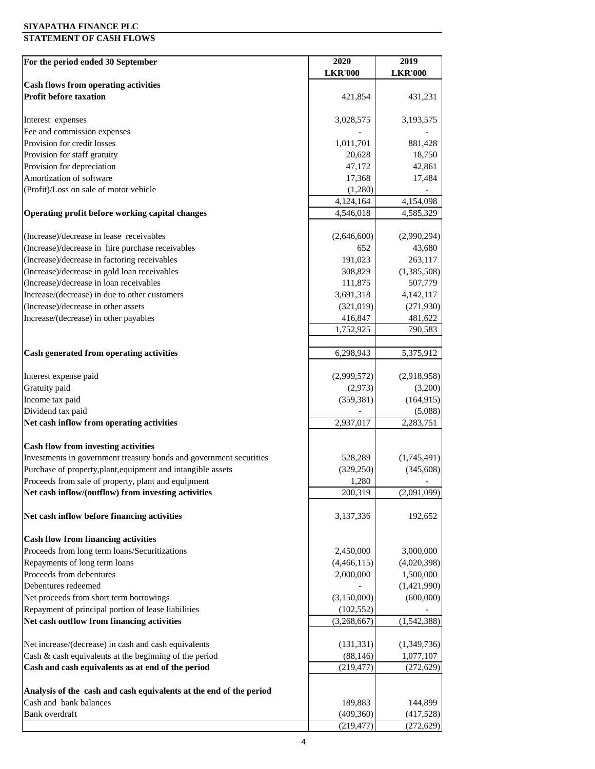#### **SIYAPATHA FINANCE PLC**

#### **STATEMENT OF CASH FLOWS**

| For the period ended 30 September                                                            | 2020                  | 2019                  |
|----------------------------------------------------------------------------------------------|-----------------------|-----------------------|
|                                                                                              | <b>LKR'000</b>        | <b>LKR'000</b>        |
| <b>Cash flows from operating activities</b>                                                  |                       |                       |
| <b>Profit before taxation</b>                                                                | 421,854               | 431,231               |
| Interest expenses                                                                            | 3,028,575             | 3,193,575             |
| Fee and commission expenses                                                                  |                       |                       |
| Provision for credit losses                                                                  | 1,011,701             | 881,428               |
| Provision for staff gratuity                                                                 | 20,628                | 18,750                |
| Provision for depreciation                                                                   | 47,172                | 42,861                |
| Amortization of software                                                                     | 17,368                | 17,484                |
| (Profit)/Loss on sale of motor vehicle                                                       | (1,280)               |                       |
|                                                                                              | 4,124,164             | 4,154,098             |
| Operating profit before working capital changes                                              | 4,546,018             | 4,585,329             |
| (Increase)/decrease in lease receivables                                                     | (2,646,600)           | (2,990,294)           |
| (Increase)/decrease in hire purchase receivables                                             | 652                   | 43,680                |
| (Increase)/decrease in factoring receivables                                                 | 191,023               | 263,117               |
| (Increase)/decrease in gold loan receivables                                                 | 308,829               | (1,385,508)           |
| (Increase)/decrease in loan receivables                                                      | 111,875               | 507,779               |
| Increase/(decrease) in due to other customers                                                | 3,691,318             | 4, 142, 117           |
| (Increase)/decrease in other assets                                                          | (321, 019)            | (271, 930)            |
| Increase/(decrease) in other payables                                                        | 416,847               | 481,622               |
|                                                                                              | 1,752,925             | 790,583               |
|                                                                                              |                       |                       |
| Cash generated from operating activities                                                     | 6,298,943             | 5,375,912             |
| Interest expense paid                                                                        | (2,999,572)           | (2,918,958)           |
| Gratuity paid                                                                                | (2,973)               | (3,200)               |
| Income tax paid                                                                              | (359, 381)            | (164, 915)            |
| Dividend tax paid                                                                            |                       | (5,088)               |
| Net cash inflow from operating activities                                                    | 2,937,017             | 2,283,751             |
| <b>Cash flow from investing activities</b>                                                   |                       |                       |
| Investments in government treasury bonds and government securities                           | 528,289               | (1,745,491)           |
| Purchase of property, plant, equipment and intangible assets                                 | (329, 250)            | (345, 608)            |
| Proceeds from sale of property, plant and equipment                                          | 1,280                 |                       |
| Net cash inflow/(outflow) from investing activities                                          | 200,319               | (2,091,099)           |
|                                                                                              |                       |                       |
| Net cash inflow before financing activities                                                  | 3,137,336             | 192,652               |
| <b>Cash flow from financing activities</b>                                                   |                       |                       |
| Proceeds from long term loans/Securitizations                                                | 2,450,000             | 3,000,000             |
| Repayments of long term loans                                                                | (4,466,115)           | (4,020,398)           |
| Proceeds from debentures                                                                     | 2,000,000             | 1,500,000             |
| Debentures redeemed                                                                          |                       | (1,421,990)           |
| Net proceeds from short term borrowings                                                      | (3,150,000)           | (600,000)             |
| Repayment of principal portion of lease liabilities                                          | (102, 552)            |                       |
| Net cash outflow from financing activities                                                   | (3,268,667)           | (1,542,388)           |
| Net increase/(decrease) in cash and cash equivalents                                         | (131, 331)            | (1,349,736)           |
| Cash & cash equivalents at the beginning of the period                                       | (88, 146)             | 1,077,107             |
| Cash and cash equivalents as at end of the period                                            | (219, 477)            | (272, 629)            |
|                                                                                              |                       |                       |
| Analysis of the cash and cash equivalents at the end of the period<br>Cash and bank balances |                       |                       |
| Bank overdraft                                                                               | 189,883<br>(409, 360) | 144,899<br>(417, 528) |
|                                                                                              | (219, 477)            | (272, 629)            |
|                                                                                              |                       |                       |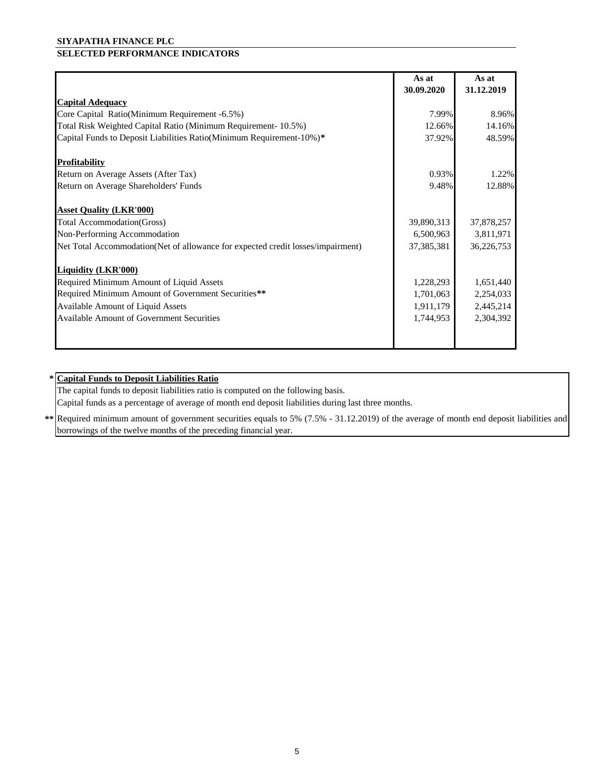#### **SIYAPATHA FINANCE PLC**

## **SELECTED PERFORMANCE INDICATORS**

|                                                                                 | As at      | As at      |
|---------------------------------------------------------------------------------|------------|------------|
|                                                                                 | 30.09.2020 | 31.12.2019 |
| <b>Capital Adequacy</b>                                                         |            |            |
| Core Capital Ratio(Minimum Requirement -6.5%)                                   | 7.99%      | 8.96%      |
| Total Risk Weighted Capital Ratio (Minimum Requirement- 10.5%)                  | 12.66%     | 14.16%     |
| Capital Funds to Deposit Liabilities Ratio(Minimum Requirement-10%)*            | 37.92%     | 48.59%     |
| <b>Profitability</b>                                                            |            |            |
| Return on Average Assets (After Tax)                                            | 0.93%      | 1.22%      |
| Return on Average Shareholders' Funds                                           | 9.48%      | 12.88%     |
| <b>Asset Quality (LKR'000)</b>                                                  |            |            |
| Total Accommodation(Gross)                                                      | 39,890,313 | 37,878,257 |
| Non-Performing Accommodation                                                    | 6,500,963  | 3,811,971  |
| Net Total Accommodation(Net of allowance for expected credit losses/impairment) | 37,385,381 | 36,226,753 |
| <b>Liquidity (LKR'000)</b>                                                      |            |            |
| Required Minimum Amount of Liquid Assets                                        | 1,228,293  | 1,651,440  |
| Required Minimum Amount of Government Securities**                              | 1,701,063  | 2,254,033  |
| Available Amount of Liquid Assets                                               | 1,911,179  | 2,445,214  |
| <b>Available Amount of Government Securities</b>                                | 1,744,953  | 2,304,392  |
|                                                                                 |            |            |

#### **\* Capital Funds to Deposit Liabilities Ratio**

The capital funds to deposit liabilities ratio is computed on the following basis.

Capital funds as a percentage of average of month end deposit liabilities during last three months.

**\*\*** Required minimum amount of government securities equals to 5% (7.5% - 31.12.2019) of the average of month end deposit liabilities and borrowings of the twelve months of the preceding financial year.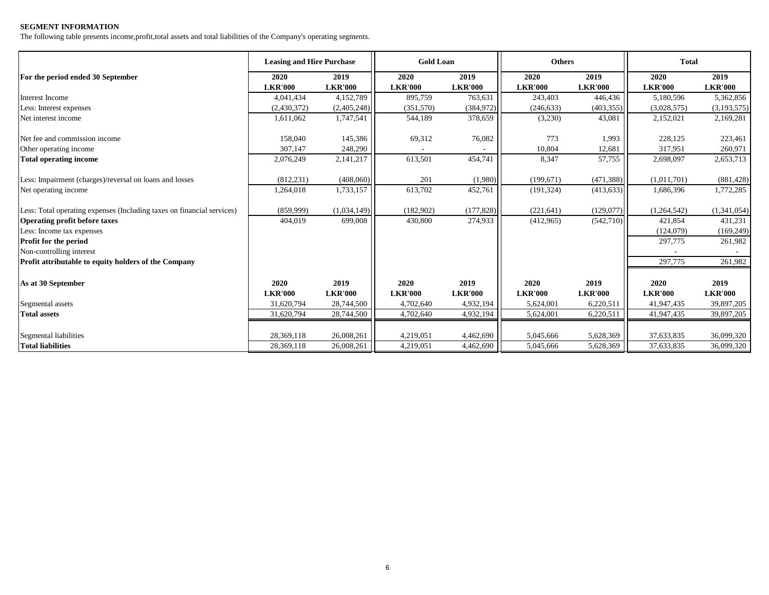#### **SEGMENT INFORMATION**

The following table presents income,profit,total assets and total liabilities of the Company's operating segments.

|                                                                        | <b>Leasing and Hire Purchase</b> |                | <b>Gold Loan</b> |                | <b>Others</b>  |                | <b>Total</b>   |                |
|------------------------------------------------------------------------|----------------------------------|----------------|------------------|----------------|----------------|----------------|----------------|----------------|
| For the period ended 30 September                                      | 2020                             | 2019           | 2020             | 2019           | 2020           | 2019           | 2020           | 2019           |
|                                                                        | <b>LKR'000</b>                   | <b>LKR'000</b> | <b>LKR'000</b>   | <b>LKR'000</b> | <b>LKR'000</b> | <b>LKR'000</b> | <b>LKR'000</b> | <b>LKR'000</b> |
| Interest Income                                                        | 4,041,434                        | 4,152,789      | 895,759          | 763,631        | 243,403        | 446,436        | 5,180,596      | 5,362,856      |
| Less: Interest expenses                                                | (2,430,372)                      | (2,405,248)    | (351,570)        | (384,972)      | (246, 633)     | (403, 355)     | (3,028,575)    | (3,193,575)    |
| Net interest income                                                    | 1,611,062                        | 1,747,541      | 544,189          | 378,659        | (3,230)        | 43,081         | 2,152,021      | 2,169,281      |
| Net fee and commission income                                          | 158,040                          | 145,386        | 69,312           | 76,082         | 773            | 1,993          | 228,125        | 223,461        |
| Other operating income                                                 | 307,147                          | 248,290        |                  |                | 10,804         | 12,681         | 317,951        | 260,971        |
| <b>Total operating income</b>                                          | 2,076,249                        | 2,141,217      | 613,501          | 454,741        | 8,347          | 57,755         | 2,698,097      | 2,653,713      |
| Less: Impairment (charges)/reversal on loans and losses                | (812, 231)                       | (408,060)      | 201              | (1,980)        | (199, 671)     | (471, 388)     | (1,011,701)    | (881, 428)     |
| Net operating income                                                   | 1,264,018                        | 1,733,157      | 613,702          | 452,761        | (191, 324)     | (413, 633)     | 1,686,396      | 1,772,285      |
| Less: Total operating expenses (Including taxes on financial services) | (859,999)                        | (1,034,149)    | (182,902)        | (177, 828)     | (221, 641)     | (129,077)      | (1,264,542)    | (1,341,054)    |
| <b>Operating profit before taxes</b>                                   | 404,019                          | 699,008        | 430,800          | 274,933        | (412,965)      | (542,710)      | 421,854        | 431,231        |
| Less: Income tax expenses                                              |                                  |                |                  |                |                |                | (124,079)      | (169, 249)     |
| <b>Profit for the period</b>                                           |                                  |                |                  |                |                |                | 297,775        | 261,982        |
| Non-controlling interest                                               |                                  |                |                  |                |                |                |                |                |
| Profit attributable to equity holders of the Company                   |                                  |                |                  |                |                |                | 297,775        | 261,982        |
| As at 30 September                                                     | 2020                             | 2019           | 2020             | 2019           | 2020           | 2019           | 2020           | 2019           |
|                                                                        | <b>LKR'000</b>                   | <b>LKR'000</b> | <b>LKR'000</b>   | <b>LKR'000</b> | <b>LKR'000</b> | <b>LKR'000</b> | <b>LKR'000</b> | <b>LKR'000</b> |
| Segmental assets                                                       | 31,620,794                       | 28,744,500     | 4,702,640        | 4,932,194      | 5,624,001      | 6,220,511      | 41,947,435     | 39,897,205     |
| <b>Total assets</b>                                                    | 31,620,794                       | 28,744,500     | 4,702,640        | 4,932,194      | 5,624,001      | 6,220,511      | 41,947,435     | 39,897,205     |
| Segmental liabilities                                                  | 28,369,118                       | 26,008,261     | 4,219,051        | 4,462,690      | 5,045,666      | 5,628,369      | 37,633,835     | 36,099,320     |
| <b>Total liabilities</b>                                               | 28,369,118                       | 26,008,261     | 4,219,051        | 4,462,690      | 5,045,666      | 5,628,369      | 37,633,835     | 36,099,320     |
|                                                                        |                                  |                |                  |                |                |                |                |                |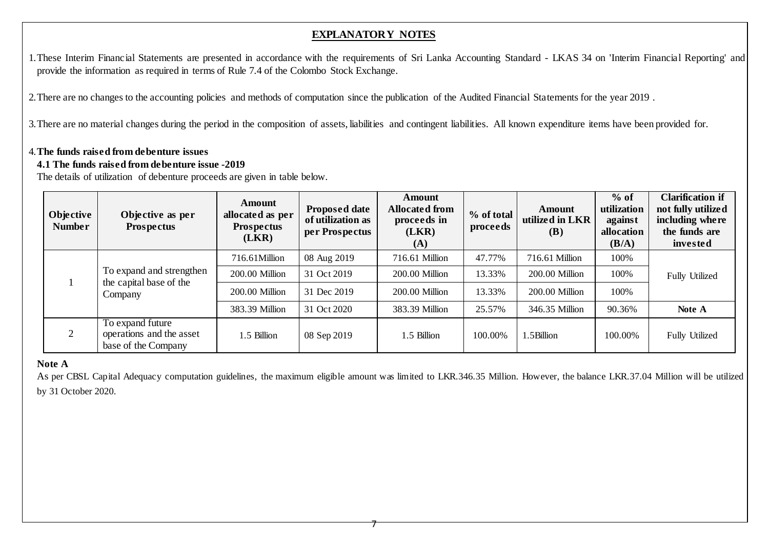# **EXPLANATORY NOTES**

1.These Interim Financial Statements are presented in accordance with the requirements of Sri Lanka Accounting Standard - LKAS 34 on 'Interim Financial Reporting' and provide the information as required in terms of Rule 7.4 of the Colombo Stock Exchange.

2.There are no changes to the accounting policies and methods of computation since the publication of the Audited Financial Statements for the year 2019 .

3.There are no material changes during the period in the composition of assets, liabilities and contingent liabilities. All known expenditure items have been provided for.

## 4.**The funds raised from debenture issues**

## **4.1 The funds raised from debenture issue -2019**

The details of utilization of debenture proceeds are given in table below.

| Objective<br><b>Number</b>         | Objective as per<br><b>Prospectus</b>                               | <b>Amount</b><br>allocated as per<br><b>Prospectus</b><br>(LKR) | <b>Proposed date</b><br>of utilization as<br>per Prospectus | <b>Amount</b><br><b>Allocated from</b><br>proceeds in<br>(LKR)<br>(A) | % of total<br>proceeds | Amount<br>utilized in LKR<br>(B) | $%$ of<br>utilization<br>against<br>allocation<br>(B/A) | <b>Clarification if</b><br>not fully utilized<br>including where<br>the funds are<br>invested |
|------------------------------------|---------------------------------------------------------------------|-----------------------------------------------------------------|-------------------------------------------------------------|-----------------------------------------------------------------------|------------------------|----------------------------------|---------------------------------------------------------|-----------------------------------------------------------------------------------------------|
|                                    | To expand and strengthen                                            | 716.61Million                                                   | 08 Aug 2019                                                 | 716.61 Million                                                        | 47.77%                 | 716.61 Million                   | 100%                                                    |                                                                                               |
|                                    |                                                                     | 200.00 Million                                                  | 31 Oct 2019                                                 | 200.00 Million                                                        | 13.33%                 | 200.00 Million                   | 100%                                                    | <b>Fully Utilized</b>                                                                         |
| the capital base of the<br>Company | 200.00 Million                                                      | 31 Dec 2019                                                     | 200.00 Million                                              | 13.33%                                                                | 200.00 Million         | 100%                             |                                                         |                                                                                               |
|                                    |                                                                     | 383.39 Million                                                  | 31 Oct 2020                                                 | 383.39 Million                                                        | 25.57%                 | 346.35 Million                   | 90.36%                                                  | Note A                                                                                        |
|                                    | To expand future<br>operations and the asset<br>base of the Company | 1.5 Billion                                                     | 08 Sep 2019                                                 | 1.5 Billion                                                           | 100.00%                | .5Billion                        | 100.00%                                                 | <b>Fully Utilized</b>                                                                         |

## **Note A**

As per CBSL Capital Adequacy computation guidelines, the maximum eligible amount was limited to LKR.346.35 Million. However, the balance LKR.37.04 Million will be utilized by 31 October 2020.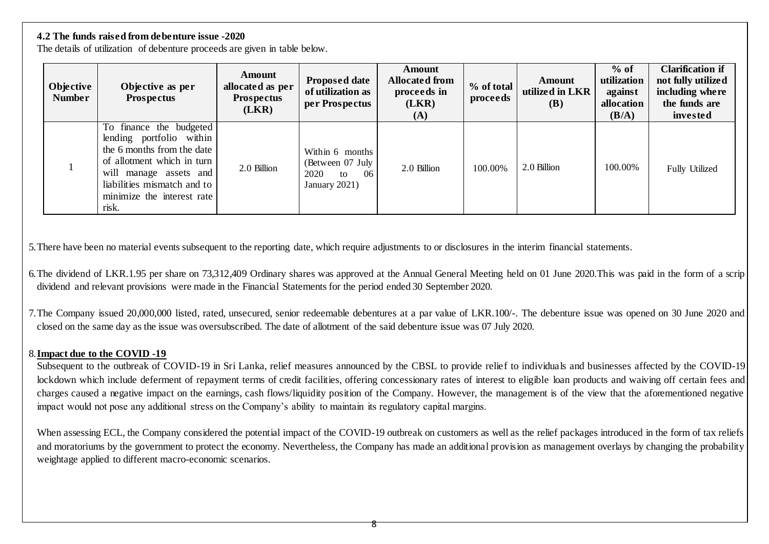## **4.2 The funds raised from debenture issue -2020**

The details of utilization of debenture proceeds are given in table below.

| Objective<br><b>Number</b> | Objective as per<br><b>Prospectus</b>                                                                                                                                                                           | <b>Amount</b><br>allocated as per<br><b>Prospectus</b><br>(LKR) | <b>Proposed date</b><br>of utilization as<br>per Prospectus               | Amount<br><b>Allocated from</b><br>proceeds in<br>(LKR)<br>(A) | % of total<br>proceeds | <b>Amount</b><br>utilized in LKR<br><b>(B)</b> | $%$ of<br>utilization<br>against<br>allocation<br>(B/A) | <b>Clarification if</b><br>not fully utilized<br>including where<br>the funds are<br>invested |
|----------------------------|-----------------------------------------------------------------------------------------------------------------------------------------------------------------------------------------------------------------|-----------------------------------------------------------------|---------------------------------------------------------------------------|----------------------------------------------------------------|------------------------|------------------------------------------------|---------------------------------------------------------|-----------------------------------------------------------------------------------------------|
|                            | To finance the budgeted<br>lending portfolio within<br>the 6 months from the date<br>of allotment which in turn<br>will manage assets and<br>liabilities mismatch and to<br>minimize the interest rate<br>risk. | 2.0 Billion                                                     | Within 6 months<br>(Between 07 July<br>2020<br>-06<br>to<br>January 2021) | 2.0 Billion                                                    | 100.00%                | 2.0 Billion                                    | 100.00%                                                 | <b>Fully Utilized</b>                                                                         |

5.There have been no material events subsequent to the reporting date, which require adjustments to or disclosures in the interim financial statements.

- 6.The dividend of LKR.1.95 per share on 73,312,409 Ordinary shares was approved at the Annual General Meeting held on 01 June 2020.This was paid in the form of a scrip dividend and relevant provisions were made in the Financial Statements for the period ended 30 September 2020.
- 7.The Company issued 20,000,000 listed, rated, unsecured, senior redeemable debentures at a par value of LKR.100/-. The debenture issue was opened on 30 June 2020 and closed on the same day as the issue was oversubscribed. The date of allotment of the said debenture issue was 07 July 2020.

## 8.**Impact due to the COVID -19**

Subsequent to the outbreak of COVID-19 in Sri Lanka, relief measures announced by the CBSL to provide relief to individuals and businesses affected by the COVID-19 lockdown which include deferment of repayment terms of credit facilities, offering concessionary rates of interest to eligible loan products and waiving off certain fees and charges caused a negative impact on the earnings, cash flows/liquidity position of the Company. However, the management is of the view that the aforementioned negative impact would not pose any additional stress on the Company's ability to maintain its regulatory capital margins.

When assessing ECL, the Company considered the potential impact of the COVID-19 outbreak on customers as well as the relief packages introduced in the form of tax reliefs and moratoriums by the government to protect the economy. Nevertheless, the Company has made an additional provision as management overlays by changing the probability weightage applied to different macro-economic scenarios.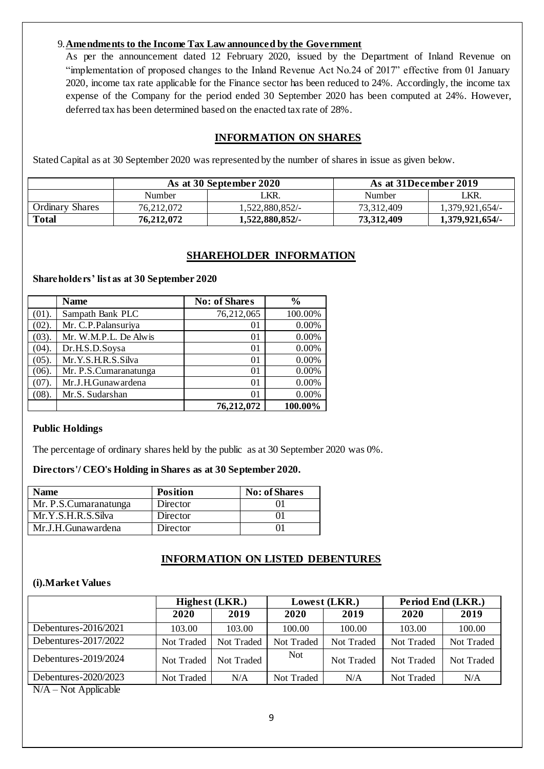#### 9.**Amendments to the Income Tax Law announced by the Government**

As per the announcement dated 12 February 2020, issued by the Department of Inland Revenue on "implementation of proposed changes to the Inland Revenue Act No.24 of 2017" effective from 01 January 2020, income tax rate applicable for the Finance sector has been reduced to 24%. Accordingly, the income tax expense of the Company for the period ended 30 September 2020 has been computed at 24%. However, deferred tax has been determined based on the enacted tax rate of 28%.

## **INFORMATION ON SHARES**

Stated Capital as at 30 September 2020 was represented by the number of shares in issue as given below.

|                        |            | As at 30 September 2020 |            | As at 31December 2019 |  |
|------------------------|------------|-------------------------|------------|-----------------------|--|
|                        | Number     | ' KR.                   | Number     | LKR.                  |  |
| <b>Ordinary Shares</b> | 76.212.072 | 1.522.880.852/-         | 73.312.409 | 1.379.921.654/-       |  |
| <b>Total</b>           | 76,212,072 | 1,522,880,852/-         | 73,312,409 | 1.379.921.654/-       |  |

## **SHAREHOLDER INFORMATION**

#### **Shareholders' list as at 30 September 2020**

|          | <b>Name</b>           | <b>No: of Shares</b> | $\frac{0}{0}$ |
|----------|-----------------------|----------------------|---------------|
| $(01)$ . | Sampath Bank PLC      | 76,212,065           | 100.00%       |
| $(02)$ . | Mr. C.P. Palansuriya  | 01                   | 0.00%         |
| (03).    | Mr. W.M.P.L. De Alwis | 01                   | 0.00%         |
| (04).    | Dr.H.S.D.Soysa        | 01                   | 0.00%         |
| (05).    | Mr.Y.S.H.R.S.Silva    | 01                   | 0.00%         |
| (06).    | Mr. P.S.Cumaranatunga | 01                   | 0.00%         |
| (07).    | Mr.J.H.Gunawardena    | 01                   | 0.00%         |
| (08).    | Mr.S. Sudarshan       | $_{01}$              | 0.00%         |
|          |                       | 76.212.072           | 100.00%       |

#### **Public Holdings**

The percentage of ordinary shares held by the public as at 30 September 2020 was 0%.

#### **Directors'/ CEO's Holding in Shares as at 30 September 2020.**

| Name                  | <b>Position</b> | <b>No: of Shares</b> |
|-----------------------|-----------------|----------------------|
| Mr. P.S.Cumaranatunga | Director        |                      |
| Mr.Y.S.H.R.S.Silva    | Director        |                      |
| Mr.J.H.Gunawardena    | Director        |                      |

#### **INFORMATION ON LISTED DEBENTURES**

#### **(i).Market Values**

|                         | <b>Highest (LKR.)</b> |            |            | Lowest (LKR.) | Period End (LKR.) |            |
|-------------------------|-----------------------|------------|------------|---------------|-------------------|------------|
|                         | 2020                  | 2019       | 2020       | 2019          | 2020              | 2019       |
| Debentures- $2016/2021$ | 103.00                | 103.00     | 100.00     | 100.00        | 103.00            | 100.00     |
| Debentures- $2017/2022$ | Not Traded            | Not Traded | Not Traded | Not Traded    | Not Traded        | Not Traded |
| Debentures- $2019/2024$ | Not Traded            | Not Traded | <b>Not</b> | Not Traded    | Not Traded        | Not Traded |
| Debentures-2020/2023    | Not Traded            | N/A        | Not Traded | N/A           | Not Traded        | N/A        |

 $N/A - Not$  Applicable